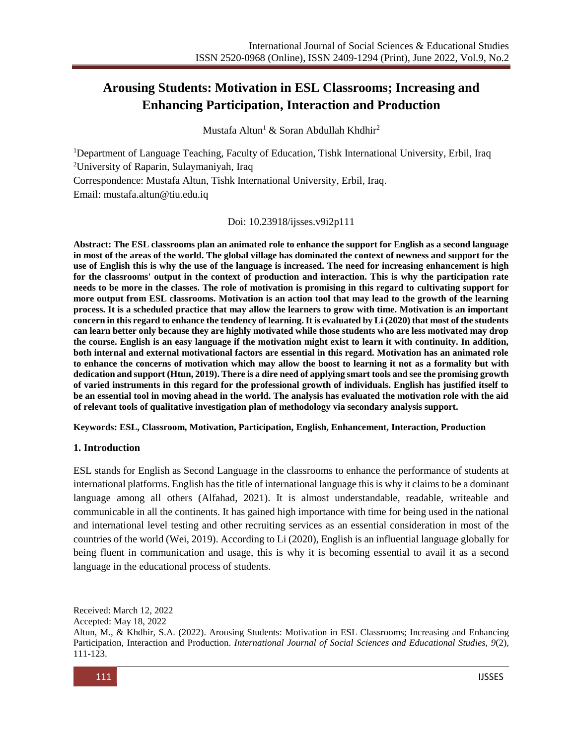# **Arousing Students: Motivation in ESL Classrooms; Increasing and Enhancing Participation, Interaction and Production**

Mustafa Altun<sup>1</sup> & Soran Abdullah Khdhir<sup>2</sup>

<sup>1</sup>Department of Language Teaching, Faculty of Education, Tishk International University, Erbil, Iraq <sup>2</sup>University of Raparin, Sulaymaniyah, Iraq

Correspondence: Mustafa Altun, Tishk International University, Erbil, Iraq.

Email: [mustafa.altun@tiu.edu.iq](mailto:mustafa.altun@tiu.edu.iq)

Doi: 10.23918/ijsses.v9i2p111

**Abstract: The ESL classrooms plan an animated role to enhance the support for English as a second language in most of the areas of the world. The global village has dominated the context of newness and support for the use of English this is why the use of the language is increased. The need for increasing enhancement is high for the classrooms' output in the context of production and interaction. This is why the participation rate needs to be more in the classes. The role of motivation is promising in this regard to cultivating support for more output from ESL classrooms. Motivation is an action tool that may lead to the growth of the learning process. It is a scheduled practice that may allow the learners to grow with time. Motivation is an important concern in this regard to enhance the tendency of learning. It is evaluated by Li (2020) that most of the students can learn better only because they are highly motivated while those students who are less motivated may drop the course. English is an easy language if the motivation might exist to learn it with continuity. In addition, both internal and external motivational factors are essential in this regard. Motivation has an animated role to enhance the concerns of motivation which may allow the boost to learning it not as a formality but with dedication and support (Htun, 2019). There is a dire need of applying smart tools and see the promising growth of varied instruments in this regard for the professional growth of individuals. English has justified itself to be an essential tool in moving ahead in the world. The analysis has evaluated the motivation role with the aid of relevant tools of qualitative investigation plan of methodology via secondary analysis support.** 

**Keywords: ESL, Classroom, Motivation, Participation, English, Enhancement, Interaction, Production**

### **1. Introduction**

ESL stands for English as Second Language in the classrooms to enhance the performance of students at international platforms. English has the title of international language this is why it claims to be a dominant language among all others (Alfahad, 2021). It is almost understandable, readable, writeable and communicable in all the continents. It has gained high importance with time for being used in the national and international level testing and other recruiting services as an essential consideration in most of the countries of the world (Wei, 2019). According to Li (2020), English is an influential language globally for being fluent in communication and usage, this is why it is becoming essential to avail it as a second language in the educational process of students.

Received: March 12, 2022

Accepted: May 18, 2022

Altun, M., & Khdhir, S.A. (2022). Arousing Students: Motivation in ESL Classrooms; Increasing and Enhancing Participation, Interaction and Production. *International Journal of Social Sciences and Educational Studies, 9*(2), 111-123.

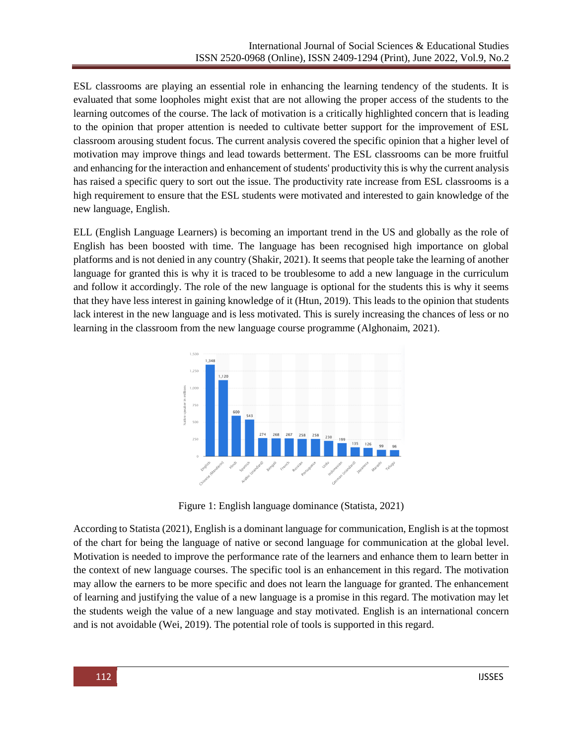ESL classrooms are playing an essential role in enhancing the learning tendency of the students. It is evaluated that some loopholes might exist that are not allowing the proper access of the students to the learning outcomes of the course. The lack of motivation is a critically highlighted concern that is leading to the opinion that proper attention is needed to cultivate better support for the improvement of ESL classroom arousing student focus. The current analysis covered the specific opinion that a higher level of motivation may improve things and lead towards betterment. The ESL classrooms can be more fruitful and enhancing for the interaction and enhancement of students' productivity this is why the current analysis has raised a specific query to sort out the issue. The productivity rate increase from ESL classrooms is a high requirement to ensure that the ESL students were motivated and interested to gain knowledge of the new language, English.

ELL (English Language Learners) is becoming an important trend in the US and globally as the role of English has been boosted with time. The language has been recognised high importance on global platforms and is not denied in any country (Shakir, 2021). It seems that people take the learning of another language for granted this is why it is traced to be troublesome to add a new language in the curriculum and follow it accordingly. The role of the new language is optional for the students this is why it seems that they have less interest in gaining knowledge of it (Htun, 2019). This leads to the opinion that students lack interest in the new language and is less motivated. This is surely increasing the chances of less or no learning in the classroom from the new language course programme (Alghonaim, 2021).



Figure 1: English language dominance (Statista, 2021)

According to Statista (2021), English is a dominant language for communication, English is at the topmost of the chart for being the language of native or second language for communication at the global level. Motivation is needed to improve the performance rate of the learners and enhance them to learn better in the context of new language courses. The specific tool is an enhancement in this regard. The motivation may allow the earners to be more specific and does not learn the language for granted. The enhancement of learning and justifying the value of a new language is a promise in this regard. The motivation may let the students weigh the value of a new language and stay motivated. English is an international concern and is not avoidable (Wei, 2019). The potential role of tools is supported in this regard.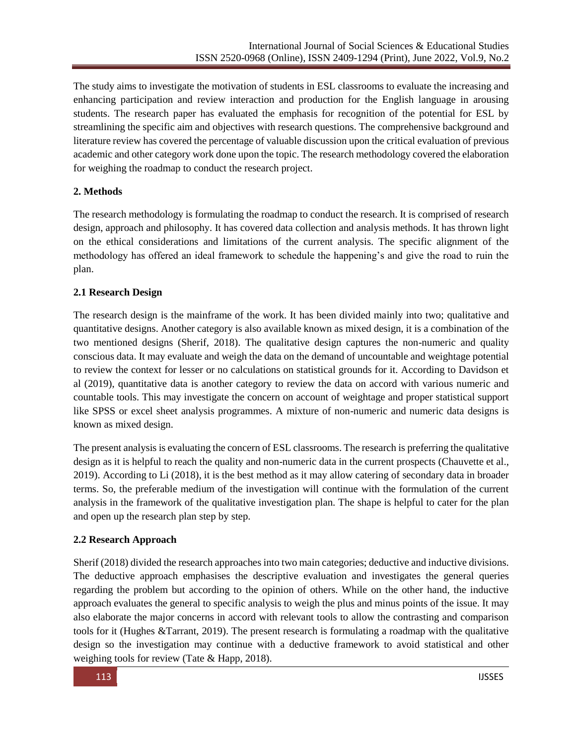The study aims to investigate the motivation of students in ESL classrooms to evaluate the increasing and enhancing participation and review interaction and production for the English language in arousing students. The research paper has evaluated the emphasis for recognition of the potential for ESL by streamlining the specific aim and objectives with research questions. The comprehensive background and literature review has covered the percentage of valuable discussion upon the critical evaluation of previous academic and other category work done upon the topic. The research methodology covered the elaboration for weighing the roadmap to conduct the research project.

## **2. Methods**

The research methodology is formulating the roadmap to conduct the research. It is comprised of research design, approach and philosophy. It has covered data collection and analysis methods. It has thrown light on the ethical considerations and limitations of the current analysis. The specific alignment of the methodology has offered an ideal framework to schedule the happening's and give the road to ruin the plan.

## **2.1 Research Design**

The research design is the mainframe of the work. It has been divided mainly into two; qualitative and quantitative designs. Another category is also available known as mixed design, it is a combination of the two mentioned designs (Sherif, 2018). The qualitative design captures the non-numeric and quality conscious data. It may evaluate and weigh the data on the demand of uncountable and weightage potential to review the context for lesser or no calculations on statistical grounds for it. According to Davidson et al (2019), quantitative data is another category to review the data on accord with various numeric and countable tools. This may investigate the concern on account of weightage and proper statistical support like SPSS or excel sheet analysis programmes. A mixture of non-numeric and numeric data designs is known as mixed design.

The present analysis is evaluating the concern of ESL classrooms. The research is preferring the qualitative design as it is helpful to reach the quality and non-numeric data in the current prospects (Chauvette et al., 2019). According to Li (2018), it is the best method as it may allow catering of secondary data in broader terms. So, the preferable medium of the investigation will continue with the formulation of the current analysis in the framework of the qualitative investigation plan. The shape is helpful to cater for the plan and open up the research plan step by step.

## **2.2 Research Approach**

Sherif (2018) divided the research approaches into two main categories; deductive and inductive divisions. The deductive approach emphasises the descriptive evaluation and investigates the general queries regarding the problem but according to the opinion of others. While on the other hand, the inductive approach evaluates the general to specific analysis to weigh the plus and minus points of the issue. It may also elaborate the major concerns in accord with relevant tools to allow the contrasting and comparison tools for it (Hughes &Tarrant, 2019). The present research is formulating a roadmap with the qualitative design so the investigation may continue with a deductive framework to avoid statistical and other weighing tools for review (Tate & Happ, 2018).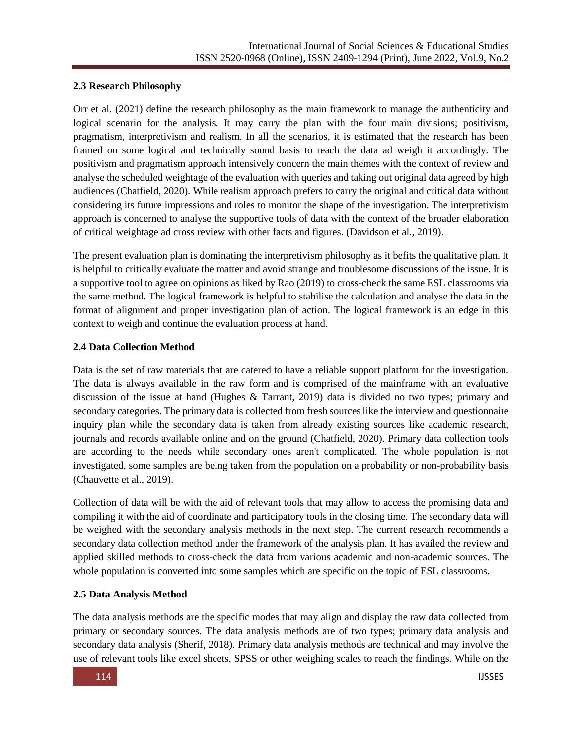## **2.3 Research Philosophy**

Orr et al. (2021) define the research philosophy as the main framework to manage the authenticity and logical scenario for the analysis. It may carry the plan with the four main divisions; positivism, pragmatism, interpretivism and realism. In all the scenarios, it is estimated that the research has been framed on some logical and technically sound basis to reach the data ad weigh it accordingly. The positivism and pragmatism approach intensively concern the main themes with the context of review and analyse the scheduled weightage of the evaluation with queries and taking out original data agreed by high audiences (Chatfield, 2020). While realism approach prefers to carry the original and critical data without considering its future impressions and roles to monitor the shape of the investigation. The interpretivism approach is concerned to analyse the supportive tools of data with the context of the broader elaboration of critical weightage ad cross review with other facts and figures. (Davidson et al., 2019).

The present evaluation plan is dominating the interpretivism philosophy as it befits the qualitative plan. It is helpful to critically evaluate the matter and avoid strange and troublesome discussions of the issue. It is a supportive tool to agree on opinions as liked by Rao (2019) to cross-check the same ESL classrooms via the same method. The logical framework is helpful to stabilise the calculation and analyse the data in the format of alignment and proper investigation plan of action. The logical framework is an edge in this context to weigh and continue the evaluation process at hand.

## **2.4 Data Collection Method**

Data is the set of raw materials that are catered to have a reliable support platform for the investigation. The data is always available in the raw form and is comprised of the mainframe with an evaluative discussion of the issue at hand (Hughes & Tarrant, 2019) data is divided no two types; primary and secondary categories. The primary data is collected from fresh sources like the interview and questionnaire inquiry plan while the secondary data is taken from already existing sources like academic research, journals and records available online and on the ground (Chatfield, 2020). Primary data collection tools are according to the needs while secondary ones aren't complicated. The whole population is not investigated, some samples are being taken from the population on a probability or non-probability basis (Chauvette et al., 2019).

Collection of data will be with the aid of relevant tools that may allow to access the promising data and compiling it with the aid of coordinate and participatory tools in the closing time. The secondary data will be weighed with the secondary analysis methods in the next step. The current research recommends a secondary data collection method under the framework of the analysis plan. It has availed the review and applied skilled methods to cross-check the data from various academic and non-academic sources. The whole population is converted into some samples which are specific on the topic of ESL classrooms.

## **2.5 Data Analysis Method**

The data analysis methods are the specific modes that may align and display the raw data collected from primary or secondary sources. The data analysis methods are of two types; primary data analysis and secondary data analysis (Sherif, 2018). Primary data analysis methods are technical and may involve the use of relevant tools like excel sheets, SPSS or other weighing scales to reach the findings. While on the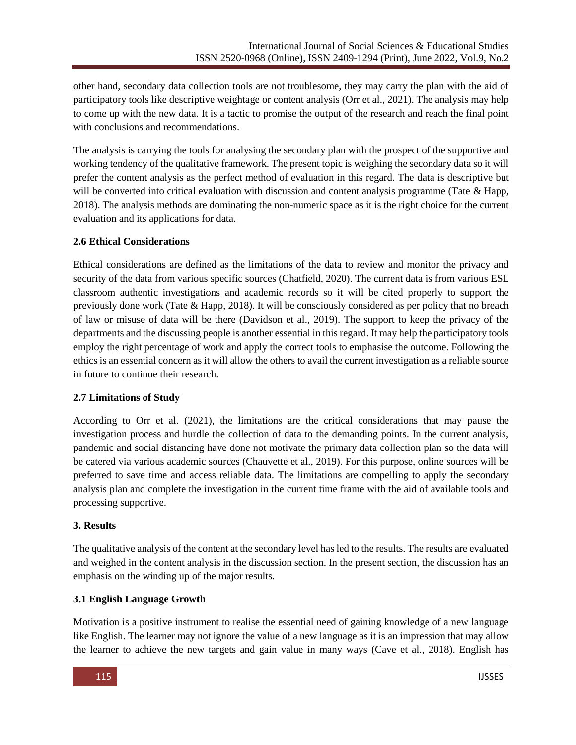other hand, secondary data collection tools are not troublesome, they may carry the plan with the aid of participatory tools like descriptive weightage or content analysis (Orr et al., 2021). The analysis may help to come up with the new data. It is a tactic to promise the output of the research and reach the final point with conclusions and recommendations.

The analysis is carrying the tools for analysing the secondary plan with the prospect of the supportive and working tendency of the qualitative framework. The present topic is weighing the secondary data so it will prefer the content analysis as the perfect method of evaluation in this regard. The data is descriptive but will be converted into critical evaluation with discussion and content analysis programme (Tate & Happ, 2018). The analysis methods are dominating the non-numeric space as it is the right choice for the current evaluation and its applications for data.

### **2.6 Ethical Considerations**

Ethical considerations are defined as the limitations of the data to review and monitor the privacy and security of the data from various specific sources (Chatfield, 2020). The current data is from various ESL classroom authentic investigations and academic records so it will be cited properly to support the previously done work (Tate & Happ, 2018). It will be consciously considered as per policy that no breach of law or misuse of data will be there (Davidson et al., 2019). The support to keep the privacy of the departments and the discussing people is another essential in this regard. It may help the participatory tools employ the right percentage of work and apply the correct tools to emphasise the outcome. Following the ethics is an essential concern as it will allow the others to avail the current investigation as a reliable source in future to continue their research.

### **2.7 Limitations of Study**

According to Orr et al. (2021), the limitations are the critical considerations that may pause the investigation process and hurdle the collection of data to the demanding points. In the current analysis, pandemic and social distancing have done not motivate the primary data collection plan so the data will be catered via various academic sources (Chauvette et al., 2019). For this purpose, online sources will be preferred to save time and access reliable data. The limitations are compelling to apply the secondary analysis plan and complete the investigation in the current time frame with the aid of available tools and processing supportive.

### **3. Results**

The qualitative analysis of the content at the secondary level has led to the results. The results are evaluated and weighed in the content analysis in the discussion section. In the present section, the discussion has an emphasis on the winding up of the major results.

### **3.1 English Language Growth**

Motivation is a positive instrument to realise the essential need of gaining knowledge of a new language like English. The learner may not ignore the value of a new language as it is an impression that may allow the learner to achieve the new targets and gain value in many ways (Cave et al., 2018). English has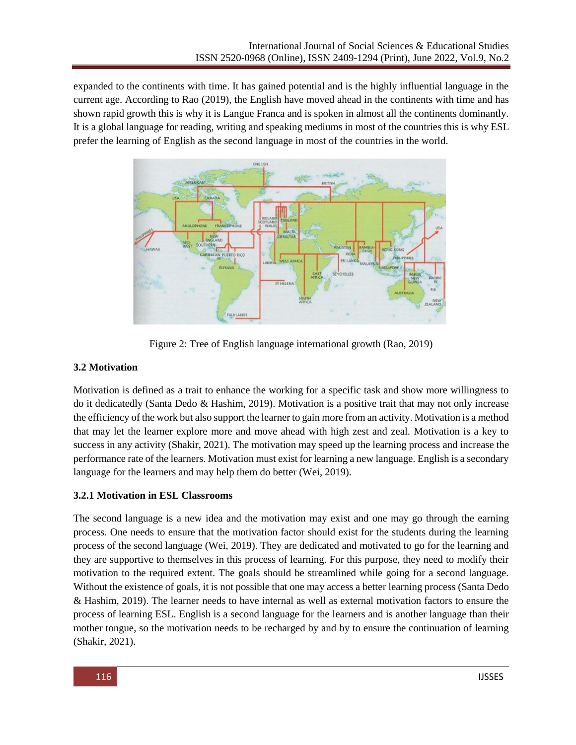expanded to the continents with time. It has gained potential and is the highly influential language in the current age. According to Rao (2019), the English have moved ahead in the continents with time and has shown rapid growth this is why it is Langue Franca and is spoken in almost all the continents dominantly. It is a global language for reading, writing and speaking mediums in most of the countries this is why ESL prefer the learning of English as the second language in most of the countries in the world.



Figure 2: Tree of English language international growth (Rao, 2019)

## **3.2 Motivation**

Motivation is defined as a trait to enhance the working for a specific task and show more willingness to do it dedicatedly (Santa Dedo & Hashim, 2019). Motivation is a positive trait that may not only increase the efficiency of the work but also support the learner to gain more from an activity. Motivation is a method that may let the learner explore more and move ahead with high zest and zeal. Motivation is a key to success in any activity (Shakir, 2021). The motivation may speed up the learning process and increase the performance rate of the learners. Motivation must exist for learning a new language. English is a secondary language for the learners and may help them do better (Wei, 2019).

## **3.2.1 Motivation in ESL Classrooms**

The second language is a new idea and the motivation may exist and one may go through the earning process. One needs to ensure that the motivation factor should exist for the students during the learning process of the second language (Wei, 2019). They are dedicated and motivated to go for the learning and they are supportive to themselves in this process of learning. For this purpose, they need to modify their motivation to the required extent. The goals should be streamlined while going for a second language. Without the existence of goals, it is not possible that one may access a better learning process (Santa Dedo & Hashim, 2019). The learner needs to have internal as well as external motivation factors to ensure the process of learning ESL. English is a second language for the learners and is another language than their mother tongue, so the motivation needs to be recharged by and by to ensure the continuation of learning (Shakir, 2021).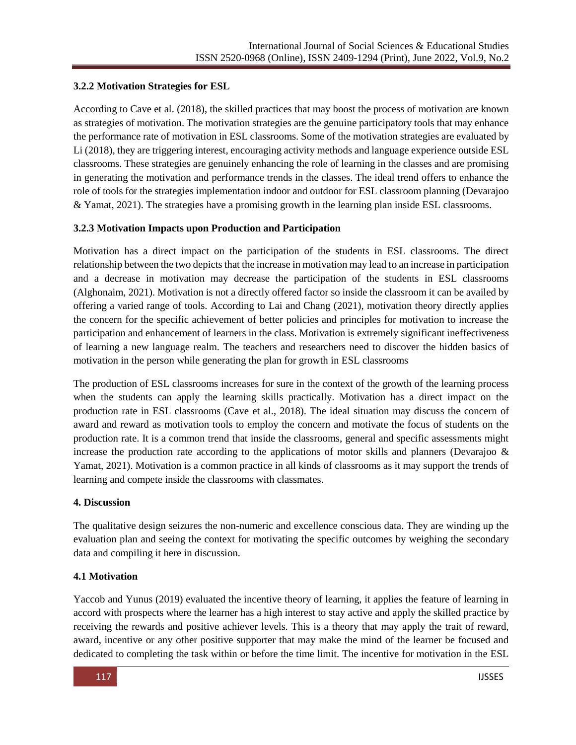## **3.2.2 Motivation Strategies for ESL**

According to Cave et al. (2018), the skilled practices that may boost the process of motivation are known as strategies of motivation. The motivation strategies are the genuine participatory tools that may enhance the performance rate of motivation in ESL classrooms. Some of the motivation strategies are evaluated by Li (2018), they are triggering interest, encouraging activity methods and language experience outside ESL classrooms. These strategies are genuinely enhancing the role of learning in the classes and are promising in generating the motivation and performance trends in the classes. The ideal trend offers to enhance the role of tools for the strategies implementation indoor and outdoor for ESL classroom planning (Devarajoo & Yamat, 2021). The strategies have a promising growth in the learning plan inside ESL classrooms.

## **3.2.3 Motivation Impacts upon Production and Participation**

Motivation has a direct impact on the participation of the students in ESL classrooms. The direct relationship between the two depicts that the increase in motivation may lead to an increase in participation and a decrease in motivation may decrease the participation of the students in ESL classrooms (Alghonaim, 2021). Motivation is not a directly offered factor so inside the classroom it can be availed by offering a varied range of tools. According to Lai and Chang (2021), motivation theory directly applies the concern for the specific achievement of better policies and principles for motivation to increase the participation and enhancement of learners in the class. Motivation is extremely significant ineffectiveness of learning a new language realm. The teachers and researchers need to discover the hidden basics of motivation in the person while generating the plan for growth in ESL classrooms

The production of ESL classrooms increases for sure in the context of the growth of the learning process when the students can apply the learning skills practically. Motivation has a direct impact on the production rate in ESL classrooms (Cave et al., 2018). The ideal situation may discuss the concern of award and reward as motivation tools to employ the concern and motivate the focus of students on the production rate. It is a common trend that inside the classrooms, general and specific assessments might increase the production rate according to the applications of motor skills and planners (Devarajoo  $\&$ Yamat, 2021). Motivation is a common practice in all kinds of classrooms as it may support the trends of learning and compete inside the classrooms with classmates.

### **4. Discussion**

The qualitative design seizures the non-numeric and excellence conscious data. They are winding up the evaluation plan and seeing the context for motivating the specific outcomes by weighing the secondary data and compiling it here in discussion.

## **4.1 Motivation**

Yaccob and Yunus (2019) evaluated the incentive theory of learning, it applies the feature of learning in accord with prospects where the learner has a high interest to stay active and apply the skilled practice by receiving the rewards and positive achiever levels. This is a theory that may apply the trait of reward, award, incentive or any other positive supporter that may make the mind of the learner be focused and dedicated to completing the task within or before the time limit. The incentive for motivation in the ESL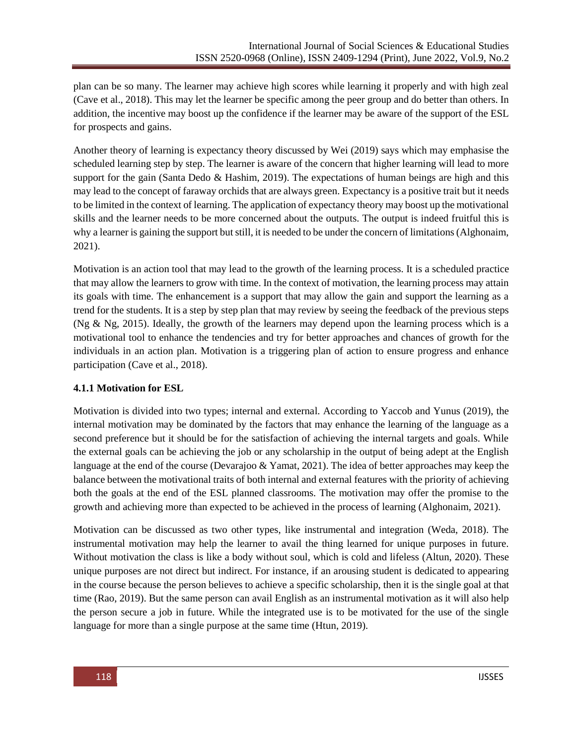plan can be so many. The learner may achieve high scores while learning it properly and with high zeal (Cave et al., 2018). This may let the learner be specific among the peer group and do better than others. In addition, the incentive may boost up the confidence if the learner may be aware of the support of the ESL for prospects and gains.

Another theory of learning is expectancy theory discussed by Wei (2019) says which may emphasise the scheduled learning step by step. The learner is aware of the concern that higher learning will lead to more support for the gain (Santa Dedo & Hashim, 2019). The expectations of human beings are high and this may lead to the concept of faraway orchids that are always green. Expectancy is a positive trait but it needs to be limited in the context of learning. The application of expectancy theory may boost up the motivational skills and the learner needs to be more concerned about the outputs. The output is indeed fruitful this is why a learner is gaining the support but still, it is needed to be under the concern of limitations (Alghonaim, 2021).

Motivation is an action tool that may lead to the growth of the learning process. It is a scheduled practice that may allow the learners to grow with time. In the context of motivation, the learning process may attain its goals with time. The enhancement is a support that may allow the gain and support the learning as a trend for the students. It is a step by step plan that may review by seeing the feedback of the previous steps (Ng & Ng, 2015). Ideally, the growth of the learners may depend upon the learning process which is a motivational tool to enhance the tendencies and try for better approaches and chances of growth for the individuals in an action plan. Motivation is a triggering plan of action to ensure progress and enhance participation (Cave et al., 2018).

### **4.1.1 Motivation for ESL**

Motivation is divided into two types; internal and external. According to Yaccob and Yunus (2019), the internal motivation may be dominated by the factors that may enhance the learning of the language as a second preference but it should be for the satisfaction of achieving the internal targets and goals. While the external goals can be achieving the job or any scholarship in the output of being adept at the English language at the end of the course (Devarajoo & Yamat, 2021). The idea of better approaches may keep the balance between the motivational traits of both internal and external features with the priority of achieving both the goals at the end of the ESL planned classrooms. The motivation may offer the promise to the growth and achieving more than expected to be achieved in the process of learning (Alghonaim, 2021).

Motivation can be discussed as two other types, like instrumental and integration (Weda, 2018). The instrumental motivation may help the learner to avail the thing learned for unique purposes in future. Without motivation the class is like a body without soul, which is cold and lifeless (Altun, 2020). These unique purposes are not direct but indirect. For instance, if an arousing student is dedicated to appearing in the course because the person believes to achieve a specific scholarship, then it is the single goal at that time (Rao, 2019). But the same person can avail English as an instrumental motivation as it will also help the person secure a job in future. While the integrated use is to be motivated for the use of the single language for more than a single purpose at the same time (Htun, 2019).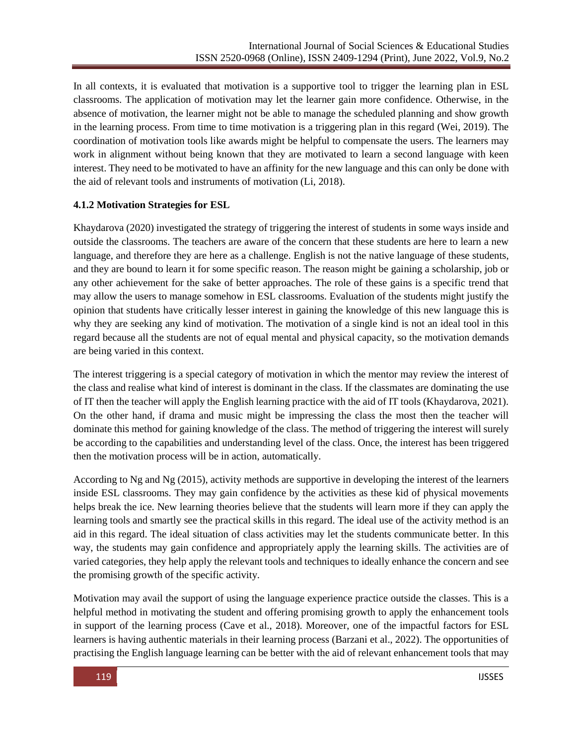In all contexts, it is evaluated that motivation is a supportive tool to trigger the learning plan in ESL classrooms. The application of motivation may let the learner gain more confidence. Otherwise, in the absence of motivation, the learner might not be able to manage the scheduled planning and show growth in the learning process. From time to time motivation is a triggering plan in this regard (Wei, 2019). The coordination of motivation tools like awards might be helpful to compensate the users. The learners may work in alignment without being known that they are motivated to learn a second language with keen interest. They need to be motivated to have an affinity for the new language and this can only be done with the aid of relevant tools and instruments of motivation (Li, 2018).

### **4.1.2 Motivation Strategies for ESL**

Khaydarova (2020) investigated the strategy of triggering the interest of students in some ways inside and outside the classrooms. The teachers are aware of the concern that these students are here to learn a new language, and therefore they are here as a challenge. English is not the native language of these students, and they are bound to learn it for some specific reason. The reason might be gaining a scholarship, job or any other achievement for the sake of better approaches. The role of these gains is a specific trend that may allow the users to manage somehow in ESL classrooms. Evaluation of the students might justify the opinion that students have critically lesser interest in gaining the knowledge of this new language this is why they are seeking any kind of motivation. The motivation of a single kind is not an ideal tool in this regard because all the students are not of equal mental and physical capacity, so the motivation demands are being varied in this context.

The interest triggering is a special category of motivation in which the mentor may review the interest of the class and realise what kind of interest is dominant in the class. If the classmates are dominating the use of IT then the teacher will apply the English learning practice with the aid of IT tools (Khaydarova, 2021). On the other hand, if drama and music might be impressing the class the most then the teacher will dominate this method for gaining knowledge of the class. The method of triggering the interest will surely be according to the capabilities and understanding level of the class. Once, the interest has been triggered then the motivation process will be in action, automatically.

According to Ng and Ng (2015), activity methods are supportive in developing the interest of the learners inside ESL classrooms. They may gain confidence by the activities as these kid of physical movements helps break the ice. New learning theories believe that the students will learn more if they can apply the learning tools and smartly see the practical skills in this regard. The ideal use of the activity method is an aid in this regard. The ideal situation of class activities may let the students communicate better. In this way, the students may gain confidence and appropriately apply the learning skills. The activities are of varied categories, they help apply the relevant tools and techniques to ideally enhance the concern and see the promising growth of the specific activity.

Motivation may avail the support of using the language experience practice outside the classes. This is a helpful method in motivating the student and offering promising growth to apply the enhancement tools in support of the learning process (Cave et al., 2018). Moreover, one of the impactful factors for ESL learners is having authentic materials in their learning process (Barzani et al., 2022). The opportunities of practising the English language learning can be better with the aid of relevant enhancement tools that may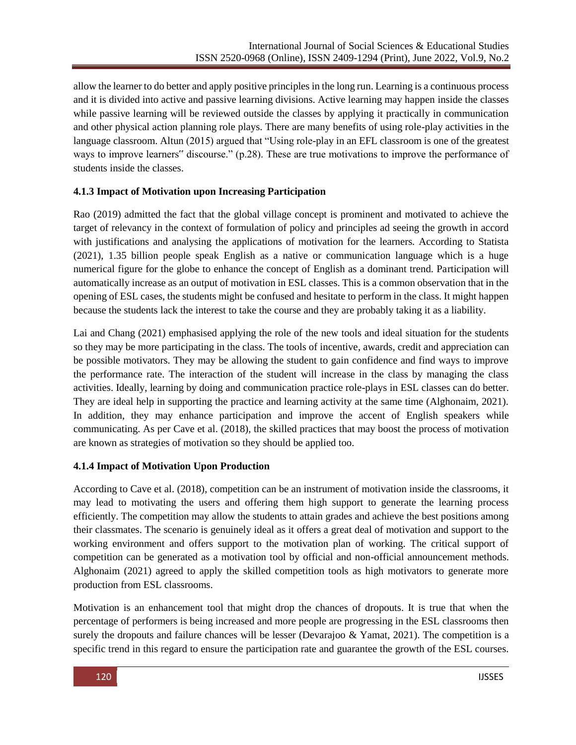allow the learner to do better and apply positive principles in the long run. Learning is a continuous process and it is divided into active and passive learning divisions. Active learning may happen inside the classes while passive learning will be reviewed outside the classes by applying it practically in communication and other physical action planning role plays. There are many benefits of using role-play activities in the language classroom. Altun (2015) argued that "Using role-play in an EFL classroom is one of the greatest ways to improve learners" discourse." (p.28). These are true motivations to improve the performance of students inside the classes.

## **4.1.3 Impact of Motivation upon Increasing Participation**

Rao (2019) admitted the fact that the global village concept is prominent and motivated to achieve the target of relevancy in the context of formulation of policy and principles ad seeing the growth in accord with justifications and analysing the applications of motivation for the learners. According to Statista (2021), 1.35 billion people speak English as a native or communication language which is a huge numerical figure for the globe to enhance the concept of English as a dominant trend. Participation will automatically increase as an output of motivation in ESL classes. This is a common observation that in the opening of ESL cases, the students might be confused and hesitate to perform in the class. It might happen because the students lack the interest to take the course and they are probably taking it as a liability.

Lai and Chang (2021) emphasised applying the role of the new tools and ideal situation for the students so they may be more participating in the class. The tools of incentive, awards, credit and appreciation can be possible motivators. They may be allowing the student to gain confidence and find ways to improve the performance rate. The interaction of the student will increase in the class by managing the class activities. Ideally, learning by doing and communication practice role-plays in ESL classes can do better. They are ideal help in supporting the practice and learning activity at the same time (Alghonaim, 2021). In addition, they may enhance participation and improve the accent of English speakers while communicating. As per Cave et al. (2018), the skilled practices that may boost the process of motivation are known as strategies of motivation so they should be applied too.

## **4.1.4 Impact of Motivation Upon Production**

According to Cave et al. (2018), competition can be an instrument of motivation inside the classrooms, it may lead to motivating the users and offering them high support to generate the learning process efficiently. The competition may allow the students to attain grades and achieve the best positions among their classmates. The scenario is genuinely ideal as it offers a great deal of motivation and support to the working environment and offers support to the motivation plan of working. The critical support of competition can be generated as a motivation tool by official and non-official announcement methods. Alghonaim (2021) agreed to apply the skilled competition tools as high motivators to generate more production from ESL classrooms.

Motivation is an enhancement tool that might drop the chances of dropouts. It is true that when the percentage of performers is being increased and more people are progressing in the ESL classrooms then surely the dropouts and failure chances will be lesser (Devarajoo  $\&$  Yamat, 2021). The competition is a specific trend in this regard to ensure the participation rate and guarantee the growth of the ESL courses.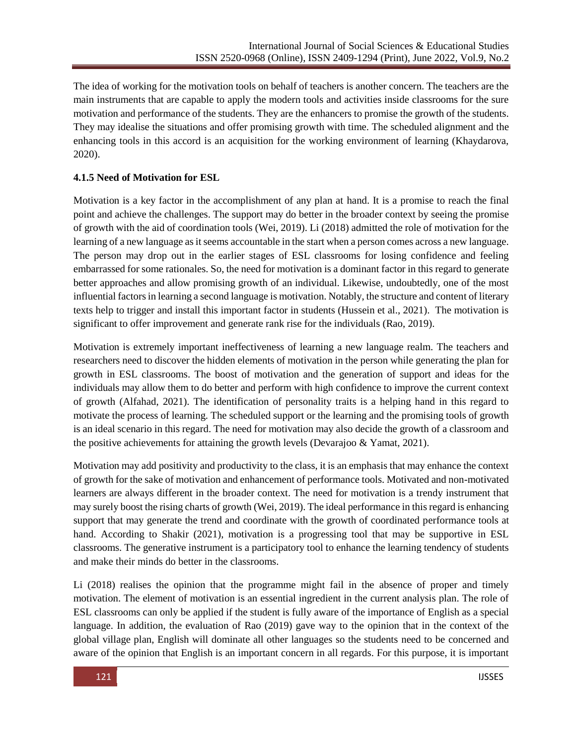The idea of working for the motivation tools on behalf of teachers is another concern. The teachers are the main instruments that are capable to apply the modern tools and activities inside classrooms for the sure motivation and performance of the students. They are the enhancers to promise the growth of the students. They may idealise the situations and offer promising growth with time. The scheduled alignment and the enhancing tools in this accord is an acquisition for the working environment of learning (Khaydarova, 2020).

## **4.1.5 Need of Motivation for ESL**

Motivation is a key factor in the accomplishment of any plan at hand. It is a promise to reach the final point and achieve the challenges. The support may do better in the broader context by seeing the promise of growth with the aid of coordination tools (Wei, 2019). Li (2018) admitted the role of motivation for the learning of a new language as it seems accountable in the start when a person comes across a new language. The person may drop out in the earlier stages of ESL classrooms for losing confidence and feeling embarrassed for some rationales. So, the need for motivation is a dominant factor in this regard to generate better approaches and allow promising growth of an individual. Likewise, undoubtedly, one of the most influential factors in learning a second language is motivation. Notably, the structure and content of literary texts help to trigger and install this important factor in students (Hussein et al., 2021). The motivation is significant to offer improvement and generate rank rise for the individuals (Rao, 2019).

Motivation is extremely important ineffectiveness of learning a new language realm. The teachers and researchers need to discover the hidden elements of motivation in the person while generating the plan for growth in ESL classrooms. The boost of motivation and the generation of support and ideas for the individuals may allow them to do better and perform with high confidence to improve the current context of growth (Alfahad, 2021). The identification of personality traits is a helping hand in this regard to motivate the process of learning. The scheduled support or the learning and the promising tools of growth is an ideal scenario in this regard. The need for motivation may also decide the growth of a classroom and the positive achievements for attaining the growth levels (Devarajoo & Yamat, 2021).

Motivation may add positivity and productivity to the class, it is an emphasis that may enhance the context of growth for the sake of motivation and enhancement of performance tools. Motivated and non-motivated learners are always different in the broader context. The need for motivation is a trendy instrument that may surely boost the rising charts of growth (Wei, 2019). The ideal performance in this regard is enhancing support that may generate the trend and coordinate with the growth of coordinated performance tools at hand. According to Shakir (2021), motivation is a progressing tool that may be supportive in ESL classrooms. The generative instrument is a participatory tool to enhance the learning tendency of students and make their minds do better in the classrooms.

Li (2018) realises the opinion that the programme might fail in the absence of proper and timely motivation. The element of motivation is an essential ingredient in the current analysis plan. The role of ESL classrooms can only be applied if the student is fully aware of the importance of English as a special language. In addition, the evaluation of Rao (2019) gave way to the opinion that in the context of the global village plan, English will dominate all other languages so the students need to be concerned and aware of the opinion that English is an important concern in all regards. For this purpose, it is important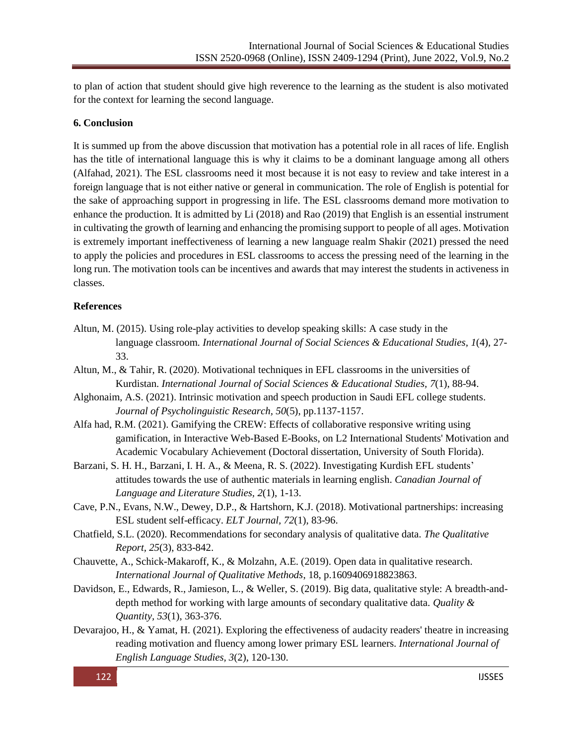to plan of action that student should give high reverence to the learning as the student is also motivated for the context for learning the second language.

## **6. Conclusion**

It is summed up from the above discussion that motivation has a potential role in all races of life. English has the title of international language this is why it claims to be a dominant language among all others (Alfahad, 2021). The ESL classrooms need it most because it is not easy to review and take interest in a foreign language that is not either native or general in communication. The role of English is potential for the sake of approaching support in progressing in life. The ESL classrooms demand more motivation to enhance the production. It is admitted by Li (2018) and Rao (2019) that English is an essential instrument in cultivating the growth of learning and enhancing the promising support to people of all ages. Motivation is extremely important ineffectiveness of learning a new language realm Shakir (2021) pressed the need to apply the policies and procedures in ESL classrooms to access the pressing need of the learning in the long run. The motivation tools can be incentives and awards that may interest the students in activeness in classes.

### **References**

- Altun, M. (2015). Using role-play activities to develop speaking skills: A case study in the language classroom. *International Journal of Social Sciences & Educational Studies, 1*(4), 27- 33.
- Altun, M., & Tahir, R. (2020). Motivational techniques in EFL classrooms in the universities of Kurdistan. *International Journal of Social Sciences & Educational Studies, 7*(1), 88-94.
- Alghonaim, A.S. (2021). Intrinsic motivation and speech production in Saudi EFL college students. *Journal of Psycholinguistic Research, 50*(5), pp.1137-1157.
- Alfa had, R.M. (2021). Gamifying the CREW: Effects of collaborative responsive writing using gamification, in Interactive Web-Based E-Books, on L2 International Students' Motivation and Academic Vocabulary Achievement (Doctoral dissertation, University of South Florida).
- Barzani, S. H. H., Barzani, I. H. A., & Meena, R. S. (2022). Investigating Kurdish EFL students' attitudes towards the use of authentic materials in learning english. *Canadian Journal of Language and Literature Studies, 2*(1), 1-13.
- Cave, P.N., Evans, N.W., Dewey, D.P., & Hartshorn, K.J. (2018). Motivational partnerships: increasing ESL student self-efficacy. *ELT Journal, 72*(1), 83-96.
- Chatfield, S.L. (2020). Recommendations for secondary analysis of qualitative data. *The Qualitative Report, 25*(3), 833-842.
- Chauvette, A., Schick-Makaroff, K., & Molzahn, A.E. (2019). Open data in qualitative research. *International Journal of Qualitative Methods*, 18, p.1609406918823863.
- Davidson, E., Edwards, R., Jamieson, L., & Weller, S. (2019). Big data, qualitative style: A breadth-anddepth method for working with large amounts of secondary qualitative data. *Quality & Quantity, 53*(1), 363-376.
- Devarajoo, H., & Yamat, H. (2021). Exploring the effectiveness of audacity readers' theatre in increasing reading motivation and fluency among lower primary ESL learners. *International Journal of English Language Studies, 3*(2), 120-130.